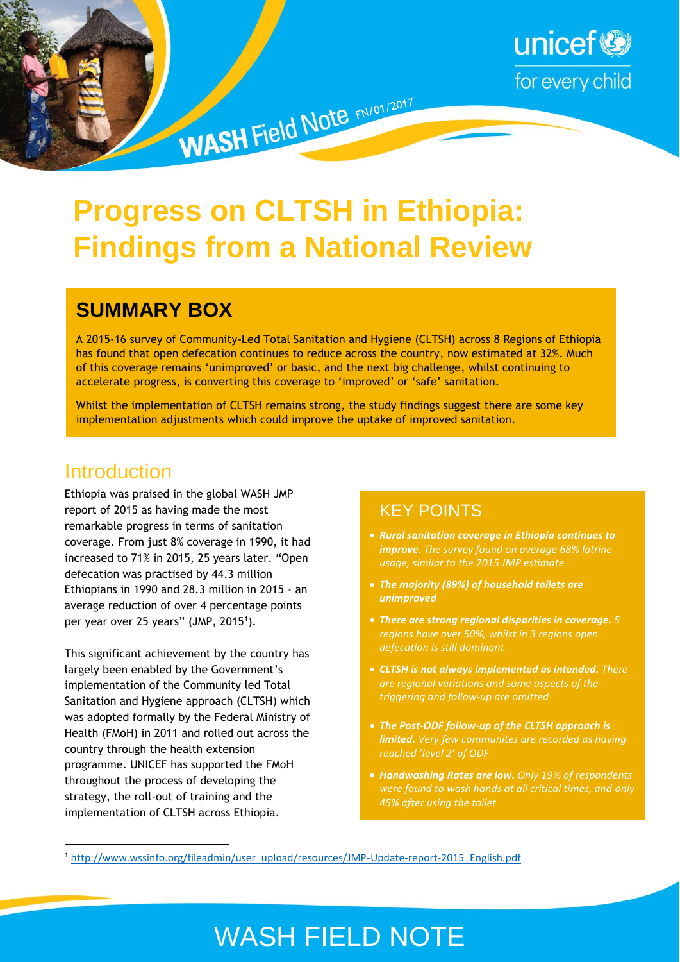

# **Progress on CLTSH in Ethiopia: Findings from a National Review**

WASH Field Note FN/01/2017

### **SUMMARY BOX**

A 2015-16 survey of Community-Led Total Sanitation and Hygiene (CLTSH) across 8 Regions of Ethiopia has found that open defecation continues to reduce across the country, now estimated at 32%. Much of this coverage remains 'unimproved' or basic, and the next big challenge, whilst continuing to accelerate progress, is converting this coverage to 'improved' or 'safe' sanitation.

Whilst the implementation of CLTSH remains strong, the study findings suggest there are some key implementation adjustments which could improve the uptake of improved sanitation.

#### **Introduction**

**.** 

Ethiopia was praised in the global WASH JMP report of 2015 as having made the most remarkable progress in terms of sanitation coverage. From just 8% coverage in 1990, it had increased to 71% in 2015, 25 years later. "Open defecation was practised by 44.3 million Ethiopians in 1990 and 28.3 million in 2015 – an average reduction of over 4 percentage points per year over 25 years" (JMP, 2015<sup>1</sup>).

This significant achievement by the country has largely been enabled by the Government's implementation of the Community led Total Sanitation and Hygiene approach (CLTSH) which was adopted formally by the Federal Ministry of Health (FMoH) in 2011 and rolled out across the country through the health extension programme. UNICEF has supported the FMoH throughout the process of developing the strategy, the roll-out of training and the implementation of CLTSH across Ethiopia.

#### KEY POINTS

- *Rural sanitation coverage in Ethiopia continues to improve. The survey found on average 68% latrine usage, similar to the 2015 JMP estimate*
- *The majority (89%) of household toilets are unimproved*
- *There are strong regional disparities in coverage. 5 regions have over 50%, whilst in 3 regions open defecation is still dominant*
- *CLTSH is not always implemented as intended. There are regional variations and some aspects of the triggering and follow-up are omitted*
- *The Post-ODF follow-up of the CLTSH approach is limited. Very few communites are recorded as having reached 'level 2' of ODF*
- *Handwashing Rates are low. Only 19% of respondents were found to wash hands at all critical times, and only 45% after using the toilet*

## WASH FIELD NOTE

<sup>1</sup> [http://www.wssinfo.org/fileadmin/user\\_upload/resources/JMP-Update-report-2015\\_English.pdf](http://www.wssinfo.org/fileadmin/user_upload/resources/JMP-Update-report-2015_English.pdf)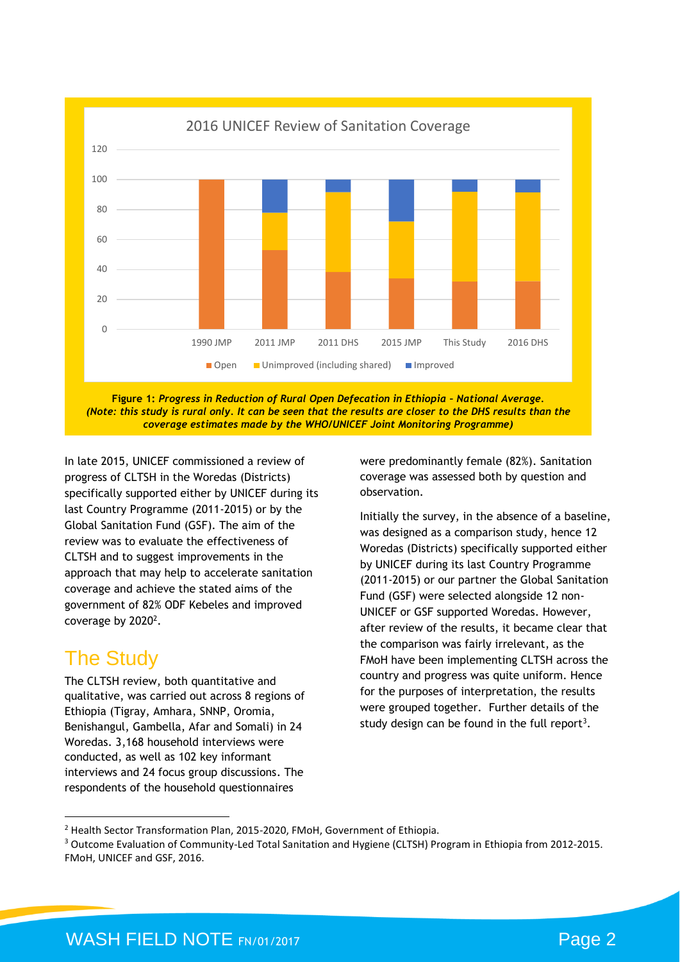

**Figure 1:** *Progress in Reduction of Rural Open Defecation in Ethiopia – National Average. (Note: this study is rural only. It can be seen that the results are closer to the DHS results than the coverage estimates made by the WHO/UNICEF Joint Monitoring Programme)*

In late 2015, UNICEF commissioned a review of progress of CLTSH in the Woredas (Districts) specifically supported either by UNICEF during its last Country Programme (2011-2015) or by the Global Sanitation Fund (GSF). The aim of the review was to evaluate the effectiveness of CLTSH and to suggest improvements in the approach that may help to accelerate sanitation coverage and achieve the stated aims of the government of 82% ODF Kebeles and improved coverage by  $2020<sup>2</sup>$ .

## The Study

**.** 

The CLTSH review, both quantitative and qualitative, was carried out across 8 regions of Ethiopia (Tigray, Amhara, SNNP, Oromia, Benishangul, Gambella, Afar and Somali) in 24 Woredas. 3,168 household interviews were conducted, as well as 102 key informant interviews and 24 focus group discussions. The respondents of the household questionnaires

were predominantly female (82%). Sanitation coverage was assessed both by question and observation.

Initially the survey, in the absence of a baseline, was designed as a comparison study, hence 12 Woredas (Districts) specifically supported either by UNICEF during its last Country Programme (2011-2015) or our partner the Global Sanitation Fund (GSF) were selected alongside 12 non-UNICEF or GSF supported Woredas. However, after review of the results, it became clear that the comparison was fairly irrelevant, as the FMoH have been implementing CLTSH across the country and progress was quite uniform. Hence for the purposes of interpretation, the results were grouped together. Further details of the study design can be found in the full report<sup>3</sup>.

<sup>2</sup> Health Sector Transformation Plan, 2015-2020, FMoH, Government of Ethiopia.

<sup>3</sup> Outcome Evaluation of Community-Led Total Sanitation and Hygiene (CLTSH) Program in Ethiopia from 2012-2015. FMoH, UNICEF and GSF, 2016.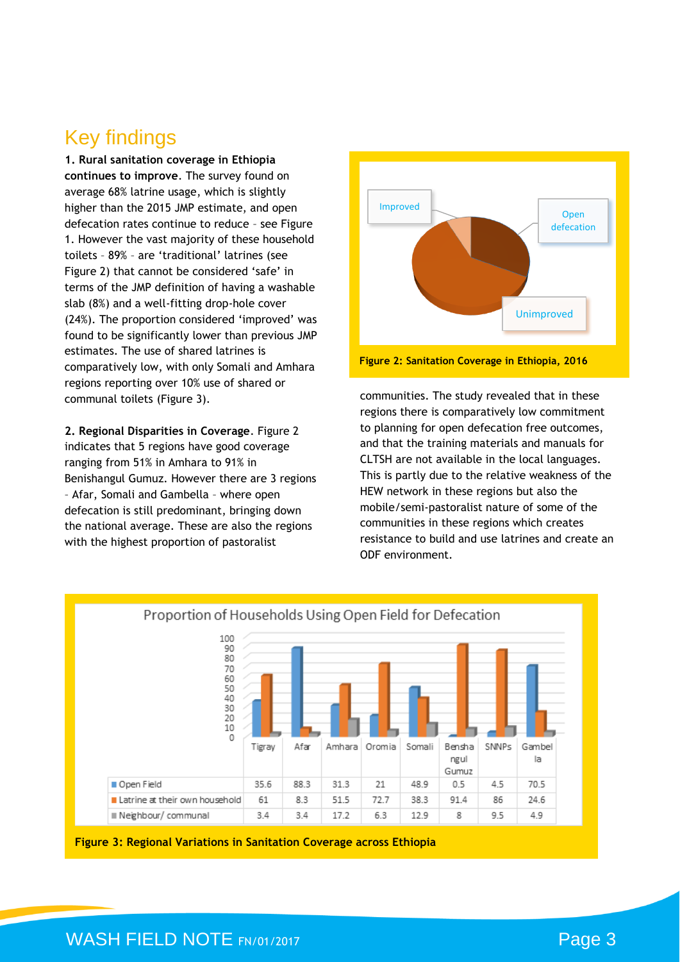## Key findings

**1. Rural sanitation coverage in Ethiopia continues to improve**. The survey found on average 68% latrine usage, which is slightly higher than the 2015 JMP estimate, and open defecation rates continue to reduce – see Figure 1. However the vast majority of these household toilets – 89% – are 'traditional' latrines (see Figure 2) that cannot be considered 'safe' in terms of the JMP definition of having a washable slab (8%) and a well-fitting drop-hole cover (24%). The proportion considered 'improved' was found to be significantly lower than previous JMP estimates. The use of shared latrines is comparatively low, with only Somali and Amhara regions reporting over 10% use of shared or communal toilets (Figure 3).

**2. Regional Disparities in Coverage**. Figure 2 indicates that 5 regions have good coverage ranging from 51% in Amhara to 91% in Benishangul Gumuz. However there are 3 regions – Afar, Somali and Gambella – where open defecation is still predominant, bringing down the national average. These are also the regions with the highest proportion of pastoralist



communities. The study revealed that in these regions there is comparatively low commitment to planning for open defecation free outcomes, and that the training materials and manuals for CLTSH are not available in the local languages. This is partly due to the relative weakness of the HEW network in these regions but also the mobile/semi-pastoralist nature of some of the communities in these regions which creates resistance to build and use latrines and create an ODF environment.





#### WASH FIELD NOTE FN/01/2017 **Page 3**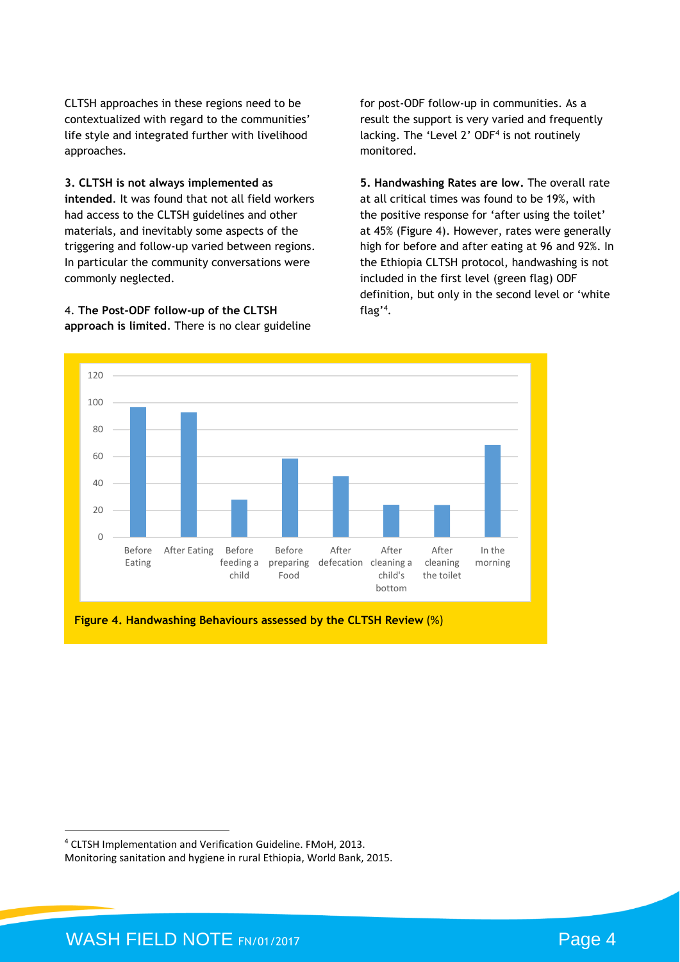CLTSH approaches in these regions need to be contextualized with regard to the communities' life style and integrated further with livelihood approaches.

**3. CLTSH is not always implemented as** 

**intended**. It was found that not all field workers had access to the CLTSH guidelines and other materials, and inevitably some aspects of the triggering and follow-up varied between regions. In particular the community conversations were commonly neglected.

4. **The Post-ODF follow-up of the CLTSH approach is limited**. There is no clear guideline for post-ODF follow-up in communities. As a result the support is very varied and frequently lacking. The 'Level 2' ODF<sup>4</sup> is not routinely monitored.

**5. Handwashing Rates are low.** The overall rate at all critical times was found to be 19%, with the positive response for 'after using the toilet' at 45% (Figure 4). However, rates were generally high for before and after eating at 96 and 92%. In the Ethiopia CLTSH protocol, handwashing is not included in the first level (green flag) ODF definition, but only in the second level or 'white flag'<sup>4</sup> .



**Figure 4. Handwashing Behaviours assessed by the CLTSH Review** (%)

 $\overline{a}$ 

<sup>4</sup> CLTSH Implementation and Verification Guideline. FMoH, 2013.

Monitoring sanitation and hygiene in rural Ethiopia, World Bank, 2015.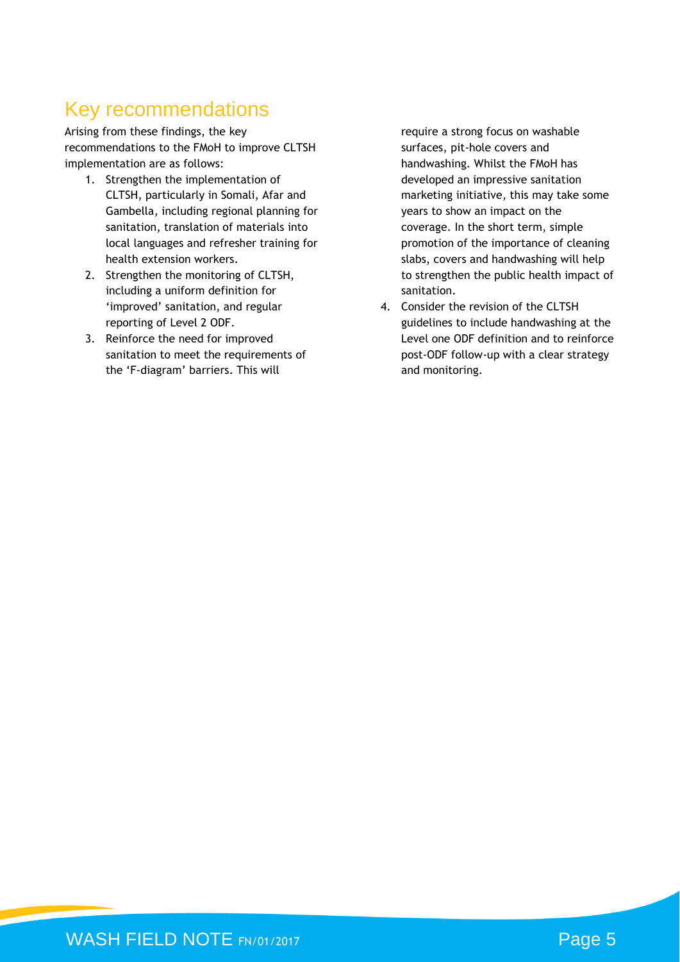## Key recommendations

Arising from these findings, the key recommendations to the FMoH to improve CLTSH implementation are as follows:

- 1. Strengthen the implementation of CLTSH, particularly in Somali, Afar and Gambella, including regional planning for sanitation, translation of materials into local languages and refresher training for health extension workers.
- 2. Strengthen the monitoring of CLTSH, including a uniform definition for 'improved' sanitation, and regular reporting of Level 2 ODF.
- 3. Reinforce the need for improved sanitation to meet the requirements of the 'F-diagram' barriers. This will

require a strong focus on washable surfaces, pit-hole covers and handwashing. Whilst the FMoH has developed an impressive sanitation marketing initiative, this may take some years to show an impact on the coverage. In the short term, simple promotion of the importance of cleaning slabs, covers and handwashing will help to strengthen the public health impact of sanitation.

4. Consider the revision of the CLTSH guidelines to include handwashing at the Level one ODF definition and to reinforce post-ODF follow-up with a clear strategy and monitoring.